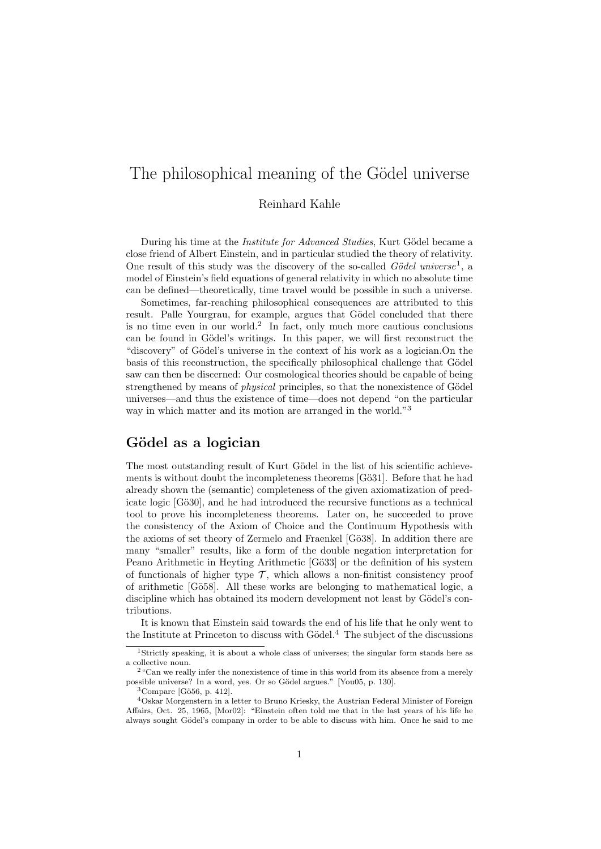# The philosophical meaning of the Gödel universe

#### Reinhard Kahle

During his time at the *Institute for Advanced Studies*, Kurt Gödel became a close friend of Albert Einstein, and in particular studied the theory of relativity. One result of this study was the discovery of the so-called  $Gödel$  universe<sup>1</sup>, a model of Einstein's field equations of general relativity in which no absolute time can be defined—theoretically, time travel would be possible in such a universe.

Sometimes, far-reaching philosophical consequences are attributed to this result. Palle Yourgrau, for example, argues that Gödel concluded that there is no time even in our world.<sup>2</sup> In fact, only much more cautious conclusions can be found in Gödel's writings. In this paper, we will first reconstruct the "discovery" of Gödel's universe in the context of his work as a logician.On the basis of this reconstruction, the specifically philosophical challenge that Gödel saw can then be discerned: Our cosmological theories should be capable of being strengthened by means of *physical* principles, so that the nonexistence of Gödel universes—and thus the existence of time—does not depend "on the particular way in which matter and its motion are arranged in the world."<sup>3</sup>

### Gödel as a logician

The most outstanding result of Kurt Gödel in the list of his scientific achievements is without doubt the incompleteness theorems [Gö31]. Before that he had already shown the (semantic) completeness of the given axiomatization of predicate logic [Gö30], and he had introduced the recursive functions as a technical tool to prove his incompleteness theorems. Later on, he succeeded to prove the consistency of the Axiom of Choice and the Continuum Hypothesis with the axioms of set theory of Zermelo and Fraenkel [Gö38]. In addition there are many "smaller" results, like a form of the double negation interpretation for Peano Arithmetic in Heyting Arithmetic [Gö33] or the definition of his system of functionals of higher type  $\mathcal{T}$ , which allows a non-finitist consistency proof of arithmetic [Gö58]. All these works are belonging to mathematical logic, a discipline which has obtained its modern development not least by Gödel's contributions.

It is known that Einstein said towards the end of his life that he only went to the Institute at Princeton to discuss with  $Gödel.4$  The subject of the discussions

<sup>1</sup>Strictly speaking, it is about a whole class of universes; the singular form stands here as a collective noun.

 $^2$  "Can we really infer the nonexistence of time in this world from its absence from a merely possible universe? In a word, yes. Or so Gödel argues." [You05, p. 130].

 $3$ Compare [Gö $56$ , p. 412].

<sup>4</sup>Oskar Morgenstern in a letter to Bruno Kriesky, the Austrian Federal Minister of Foreign Affairs, Oct. 25, 1965, [Mor02]: "Einstein often told me that in the last years of his life he always sought Gödel's company in order to be able to discuss with him. Once he said to me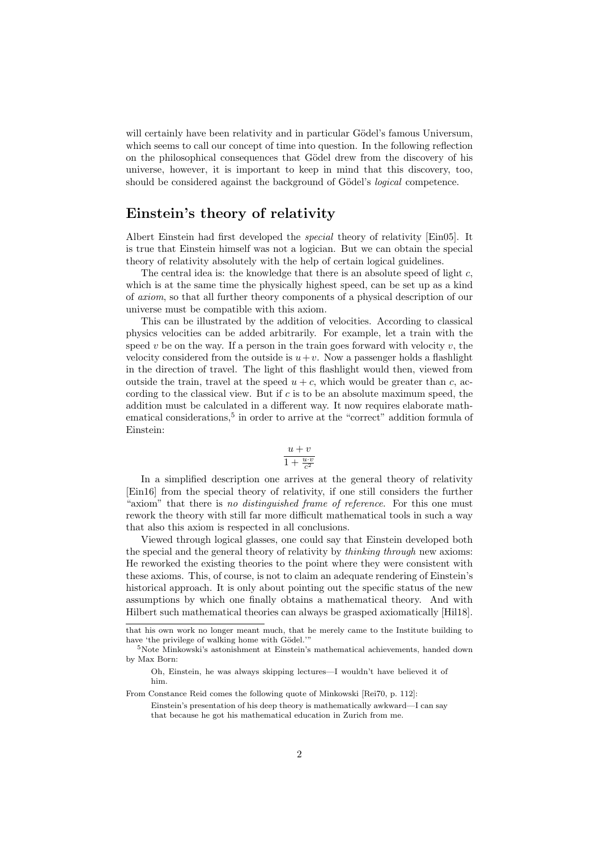will certainly have been relativity and in particular Gödel's famous Universum, which seems to call our concept of time into question. In the following reflection on the philosophical consequences that Gödel drew from the discovery of his universe, however, it is important to keep in mind that this discovery, too, should be considered against the background of Gödel's *logical* competence.

### Einstein's theory of relativity

Albert Einstein had first developed the special theory of relativity [Ein05]. It is true that Einstein himself was not a logician. But we can obtain the special theory of relativity absolutely with the help of certain logical guidelines.

The central idea is: the knowledge that there is an absolute speed of light  $c$ , which is at the same time the physically highest speed, can be set up as a kind of axiom, so that all further theory components of a physical description of our universe must be compatible with this axiom.

This can be illustrated by the addition of velocities. According to classical physics velocities can be added arbitrarily. For example, let a train with the speed v be on the way. If a person in the train goes forward with velocity  $v$ , the velocity considered from the outside is  $u+v$ . Now a passenger holds a flashlight in the direction of travel. The light of this flashlight would then, viewed from outside the train, travel at the speed  $u + c$ , which would be greater than c, according to the classical view. But if c is to be an absolute maximum speed, the addition must be calculated in a different way. It now requires elaborate mathematical considerations,<sup>5</sup> in order to arrive at the "correct" addition formula of Einstein:

$$
\frac{u+v}{1+\frac{u\cdot v}{c^2}}
$$

In a simplified description one arrives at the general theory of relativity [Ein16] from the special theory of relativity, if one still considers the further "axiom" that there is no distinguished frame of reference. For this one must rework the theory with still far more difficult mathematical tools in such a way that also this axiom is respected in all conclusions.

Viewed through logical glasses, one could say that Einstein developed both the special and the general theory of relativity by *thinking through* new axioms: He reworked the existing theories to the point where they were consistent with these axioms. This, of course, is not to claim an adequate rendering of Einstein's historical approach. It is only about pointing out the specific status of the new assumptions by which one finally obtains a mathematical theory. And with Hilbert such mathematical theories can always be grasped axiomatically [Hil18].

that his own work no longer meant much, that he merely came to the Institute building to have 'the privilege of walking home with Gödel."

 $5\mathrm{Note}$ Minkowski's astonishment at Einstein's mathematical achievements, handed down by Max Born:

Oh, Einstein, he was always skipping lectures—I wouldn't have believed it of him.

From Constance Reid comes the following quote of Minkowski [Rei70, p. 112]:

Einstein's presentation of his deep theory is mathematically awkward—I can say that because he got his mathematical education in Zurich from me.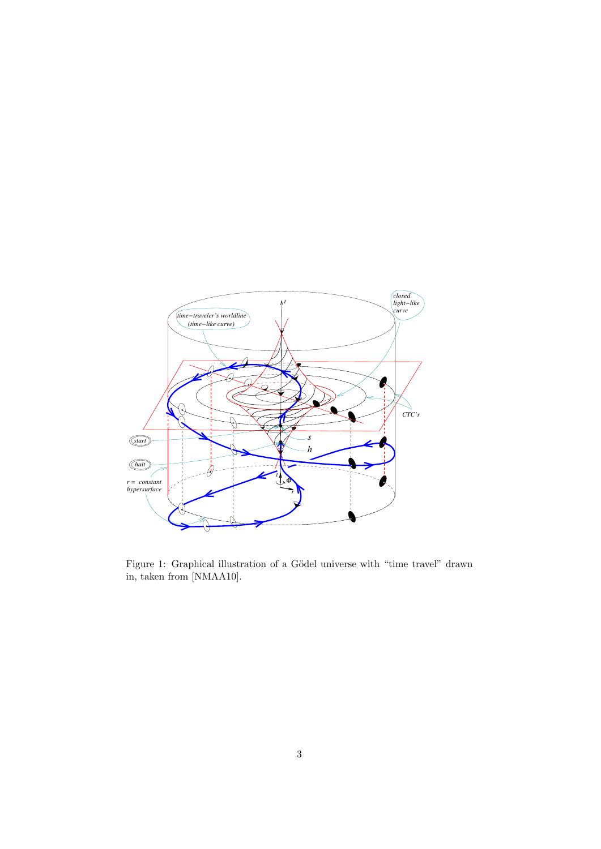

VISUALIZING IDEAS ABOUT GODEL-TYPE ROTATING UNIVERSES 3 ¨ Figure 1: Graphical illustration of a Gödel universe with "time travel" drawn in, taken from [NMAA10].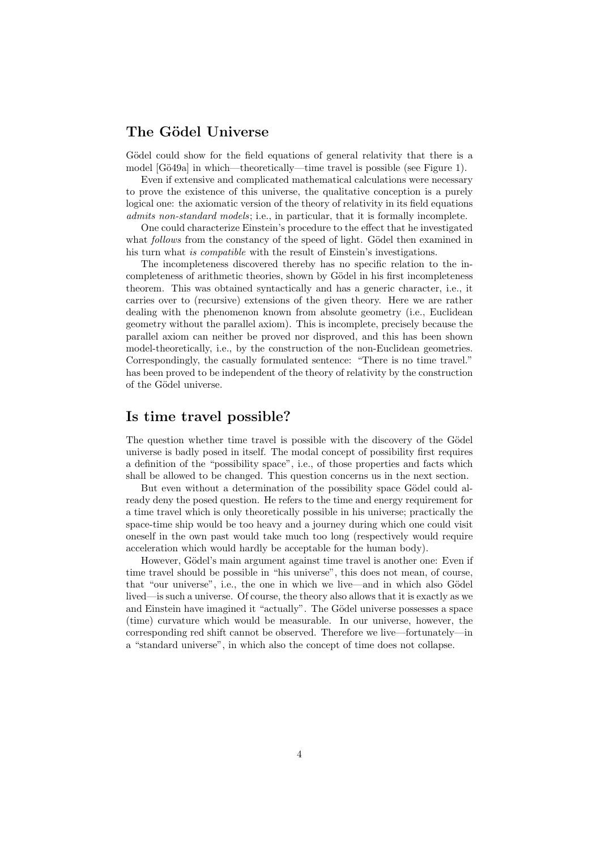## The Gödel Universe

Gödel could show for the field equations of general relativity that there is a model [Gö49a] in which—theoretically—time travel is possible (see Figure 1).

Even if extensive and complicated mathematical calculations were necessary to prove the existence of this universe, the qualitative conception is a purely logical one: the axiomatic version of the theory of relativity in its field equations admits non-standard models; i.e., in particular, that it is formally incomplete.

One could characterize Einstein's procedure to the effect that he investigated what *follows* from the constancy of the speed of light. Gödel then examined in his turn what is compatible with the result of Einstein's investigations.

The incompleteness discovered thereby has no specific relation to the incompleteness of arithmetic theories, shown by Gödel in his first incompleteness theorem. This was obtained syntactically and has a generic character, i.e., it carries over to (recursive) extensions of the given theory. Here we are rather dealing with the phenomenon known from absolute geometry (i.e., Euclidean geometry without the parallel axiom). This is incomplete, precisely because the parallel axiom can neither be proved nor disproved, and this has been shown model-theoretically, i.e., by the construction of the non-Euclidean geometries. Correspondingly, the casually formulated sentence: "There is no time travel." has been proved to be independent of the theory of relativity by the construction of the Gödel universe.

### Is time travel possible?

The question whether time travel is possible with the discovery of the Gödel universe is badly posed in itself. The modal concept of possibility first requires a definition of the "possibility space", i.e., of those properties and facts which shall be allowed to be changed. This question concerns us in the next section.

But even without a determination of the possibility space Gödel could already deny the posed question. He refers to the time and energy requirement for a time travel which is only theoretically possible in his universe; practically the space-time ship would be too heavy and a journey during which one could visit oneself in the own past would take much too long (respectively would require acceleration which would hardly be acceptable for the human body).

However, Gödel's main argument against time travel is another one: Even if time travel should be possible in "his universe", this does not mean, of course, that "our universe", i.e., the one in which we live—and in which also Gödel lived—is such a universe. Of course, the theory also allows that it is exactly as we and Einstein have imagined it "actually". The Gödel universe possesses a space (time) curvature which would be measurable. In our universe, however, the corresponding red shift cannot be observed. Therefore we live—fortunately—in a "standard universe", in which also the concept of time does not collapse.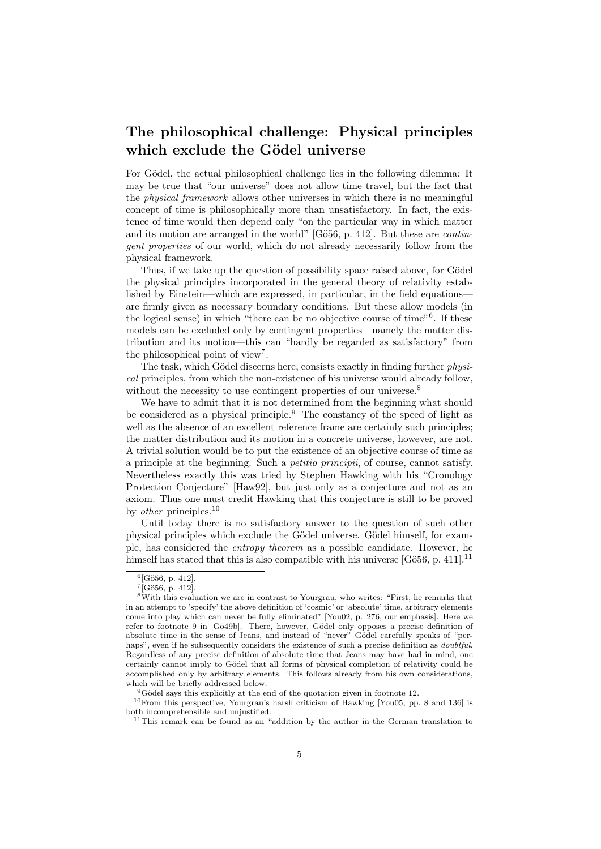# The philosophical challenge: Physical principles which exclude the Gödel universe

For Gödel, the actual philosophical challenge lies in the following dilemma: It may be true that "our universe" does not allow time travel, but the fact that the physical framework allows other universes in which there is no meaningful concept of time is philosophically more than unsatisfactory. In fact, the existence of time would then depend only "on the particular way in which matter and its motion are arranged in the world" [Gö56, p. 412]. But these are *contin*gent properties of our world, which do not already necessarily follow from the physical framework.

Thus, if we take up the question of possibility space raised above, for Gödel the physical principles incorporated in the general theory of relativity established by Einstein—which are expressed, in particular, in the field equations are firmly given as necessary boundary conditions. But these allow models (in the logical sense) in which "there can be no objective course of time"<sup>6</sup> . If these models can be excluded only by contingent properties—namely the matter distribution and its motion—this can "hardly be regarded as satisfactory" from the philosophical point of view<sup>7</sup>.

The task, which Gödel discerns here, consists exactly in finding further  $physi$ cal principles, from which the non-existence of his universe would already follow, without the necessity to use contingent properties of our universe.<sup>8</sup>

We have to admit that it is not determined from the beginning what should be considered as a physical principle.<sup>9</sup> The constancy of the speed of light as well as the absence of an excellent reference frame are certainly such principles; the matter distribution and its motion in a concrete universe, however, are not. A trivial solution would be to put the existence of an objective course of time as a principle at the beginning. Such a petitio principii, of course, cannot satisfy. Nevertheless exactly this was tried by Stephen Hawking with his "Cronology Protection Conjecture" [Haw92], but just only as a conjecture and not as an axiom. Thus one must credit Hawking that this conjecture is still to be proved by *other* principles.<sup>10</sup>

Until today there is no satisfactory answer to the question of such other physical principles which exclude the Gödel universe. Gödel himself, for example, has considered the entropy theorem as a possible candidate. However, he himself has stated that this is also compatible with his universe  $[G\ddot{\mathrm{o}}56, p. 411]$ .<sup>11</sup>

 $^{6}$ [Gö56, p. 412].

 $^{7}$ [Gö56, p. 412].

<sup>8</sup>With this evaluation we are in contrast to Yourgrau, who writes: "First, he remarks that in an attempt to 'specify' the above definition of 'cosmic' or 'absolute' time, arbitrary elements come into play which can never be fully eliminated" [You02, p. 276, our emphasis]. Here we refer to footnote 9 in [Gö49b]. There, however, Gödel only opposes a precise definition of absolute time in the sense of Jeans, and instead of "never" Gödel carefully speaks of "perhaps", even if he subsequently considers the existence of such a precise definition as *doubtful*. Regardless of any precise definition of absolute time that Jeans may have had in mind, one certainly cannot imply to Gödel that all forms of physical completion of relativity could be accomplished only by arbitrary elements. This follows already from his own considerations, which will be briefly addressed below.

 $9$ Gödel says this explicitly at the end of the quotation given in footnote 12.

<sup>10</sup>From this perspective, Yourgrau's harsh criticism of Hawking [You05, pp. 8 and 136] is both incomprehensible and unjustified.

<sup>11</sup>This remark can be found as an "addition by the author in the German translation to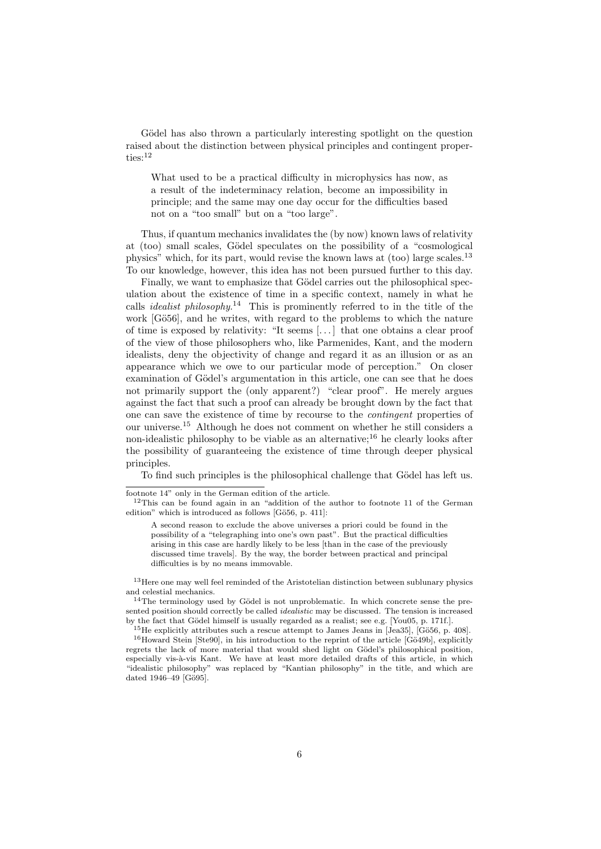Gödel has also thrown a particularly interesting spotlight on the question raised about the distinction between physical principles and contingent properties:<sup>12</sup>

What used to be a practical difficulty in microphysics has now, as a result of the indeterminacy relation, become an impossibility in principle; and the same may one day occur for the difficulties based not on a "too small" but on a "too large".

Thus, if quantum mechanics invalidates the (by now) known laws of relativity at (too) small scales, Gödel speculates on the possibility of a "cosmological physics" which, for its part, would revise the known laws at (too) large scales.<sup>13</sup> To our knowledge, however, this idea has not been pursued further to this day.

Finally, we want to emphasize that Gödel carries out the philosophical speculation about the existence of time in a specific context, namely in what he calls *idealist philosophy*.<sup>14</sup> This is prominently referred to in the title of the work [Gö56], and he writes, with regard to the problems to which the nature of time is exposed by relativity: "It seems [. . . ] that one obtains a clear proof of the view of those philosophers who, like Parmenides, Kant, and the modern idealists, deny the objectivity of change and regard it as an illusion or as an appearance which we owe to our particular mode of perception." On closer examination of Gödel's argumentation in this article, one can see that he does not primarily support the (only apparent?) "clear proof". He merely argues against the fact that such a proof can already be brought down by the fact that one can save the existence of time by recourse to the contingent properties of our universe.<sup>15</sup> Although he does not comment on whether he still considers a non-idealistic philosophy to be viable as an alternative;<sup>16</sup> he clearly looks after the possibility of guaranteeing the existence of time through deeper physical principles.

To find such principles is the philosophical challenge that Gödel has left us.

footnote 14" only in the German edition of the article.

<sup>&</sup>lt;sup>12</sup>This can be found again in an "addition of the author to footnote 11 of the German edition" which is introduced as follows [Gö56, p. 411]:

A second reason to exclude the above universes a priori could be found in the possibility of a "telegraphing into one's own past". But the practical difficulties arising in this case are hardly likely to be less [than in the case of the previously discussed time travels]. By the way, the border between practical and principal difficulties is by no means immovable.

<sup>13</sup>Here one may well feel reminded of the Aristotelian distinction between sublunary physics and celestial mechanics.

 $14$ The terminology used by Gödel is not unproblematic. In which concrete sense the presented position should correctly be called *idealistic* may be discussed. The tension is increased by the fact that Gödel himself is usually regarded as a realist; see e.g. [You05, p. 171f.].

 $15$  He explicitly attributes such a rescue attempt to James Jeans in [Jea35], [Gö56, p. 408].  $16$ Howard Stein [Ste90], in his introduction to the reprint of the article [Gö49b], explicitly regrets the lack of more material that would shed light on Gödel's philosophical position, especially vis-à-vis Kant. We have at least more detailed drafts of this article, in which "idealistic philosophy" was replaced by "Kantian philosophy" in the title, and which are dated 1946–49 [Gö95].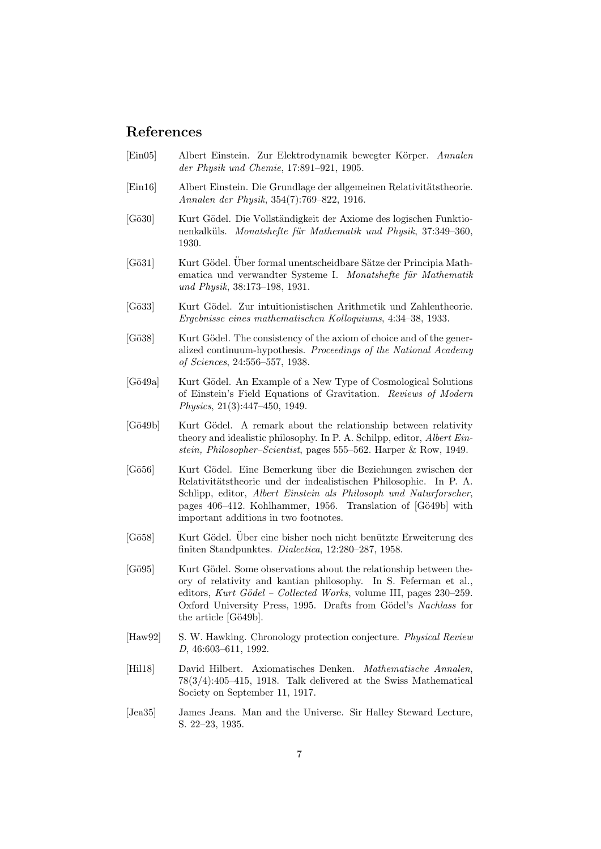### References

- [Ein05] Albert Einstein. Zur Elektrodynamik bewegter Körper. Annalen der Physik und Chemie, 17:891–921, 1905.
- [Ein16] Albert Einstein. Die Grundlage der allgemeinen Relativitätstheorie. Annalen der Physik, 354(7):769–822, 1916.
- [Gö30] Kurt Gödel. Die Vollständigkeit der Axiome des logischen Funktionenkalküls. Monatshefte für Mathematik und Physik, 37:349-360, 1930.
- [Gö31] Kurt Gödel. Über formal unentscheidbare Sätze der Principia Mathematica und verwandter Systeme I. Monatshefte für Mathematik und Physik, 38:173–198, 1931.
- [Gö33] Kurt Gödel. Zur intuitionistischen Arithmetik und Zahlentheorie. Ergebnisse eines mathematischen Kolloquiums, 4:34–38, 1933.
- [Gö38] Kurt Gödel. The consistency of the axiom of choice and of the generalized continuum-hypothesis. Proceedings of the National Academy of Sciences, 24:556–557, 1938.
- [Gö49a] Kurt Gödel. An Example of a New Type of Cosmological Solutions of Einstein's Field Equations of Gravitation. Reviews of Modern Physics, 21(3):447–450, 1949.
- [Gö49b] Kurt Gödel. A remark about the relationship between relativity theory and idealistic philosophy. In P. A. Schilpp, editor, Albert Einstein, Philosopher–Scientist, pages 555–562. Harper & Row, 1949.
- [G¨o56] Kurt G¨odel. Eine Bemerkung ¨uber die Beziehungen zwischen der Relativitätstheorie und der indealistischen Philosophie. In P. A. Schlipp, editor, Albert Einstein als Philosoph und Naturforscher, pages 406–412. Kohlhammer, 1956. Translation of [Gö49b] with important additions in two footnotes.
- [Gö58] Kurt Gödel. Über eine bisher noch nicht benützte Erweiterung des finiten Standpunktes. Dialectica, 12:280–287, 1958.
- [Gö95] Kurt Gödel. Some observations about the relationship between theory of relativity and kantian philosophy. In S. Feferman et al., editors, Kurt Gödel – Collected Works, volume III, pages  $230-259$ . Oxford University Press, 1995. Drafts from Gödel's Nachlass for the article  $[G\ddot{o}49b]$ .
- [Haw92] S. W. Hawking. Chronology protection conjecture. *Physical Review* D, 46:603–611, 1992.
- [Hil18] David Hilbert. Axiomatisches Denken. Mathematische Annalen, 78(3/4):405–415, 1918. Talk delivered at the Swiss Mathematical Society on September 11, 1917.
- [Jea35] James Jeans. Man and the Universe. Sir Halley Steward Lecture, S. 22–23, 1935.